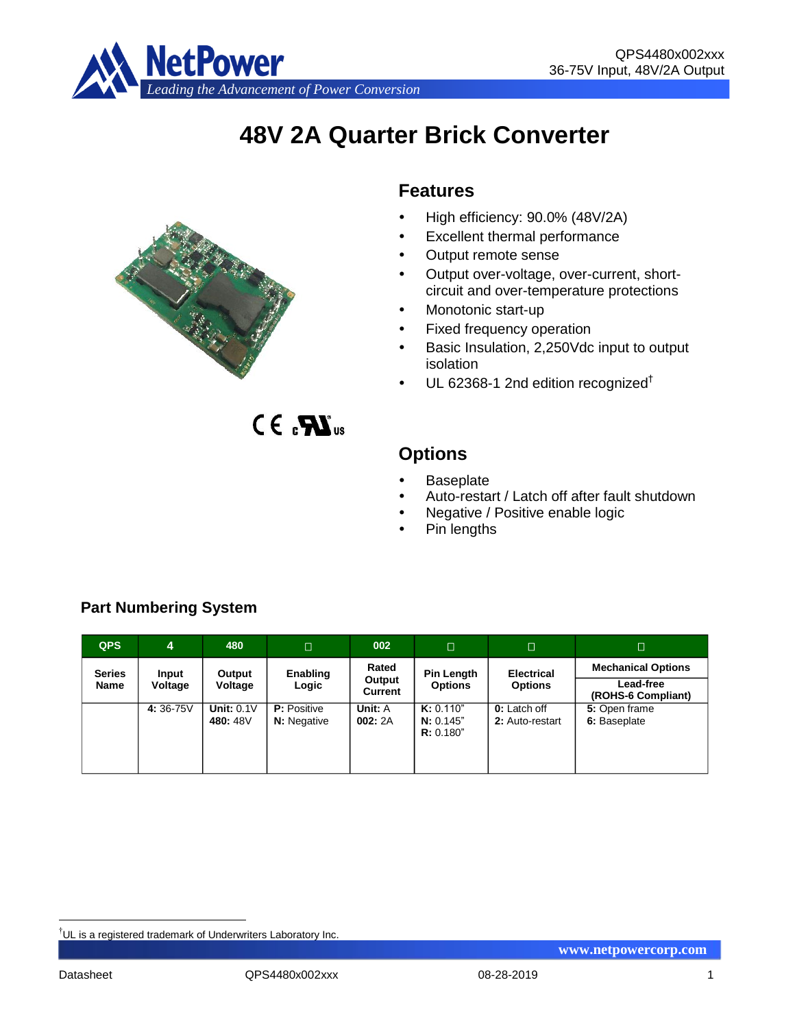

# **48V 2A Quarter Brick Converter**



 $CE, PC$ 

# **Features**

- High efficiency: 90.0% (48V/2A)
- Excellent thermal performance
- Output remote sense
- Output over-voltage, over-current, shortcircuit and over-temperature protections
- Monotonic start-up
- Fixed frequency operation
- Basic Insulation, 2,250Vdc input to output isolation
- $\cdot$  UL 62368-1 2nd edition recognized<sup>†</sup>

# **Options**

- Baseplate
- Auto-restart / Latch off after fault shutdown
- Negative / Positive enable logic
- Pin lengths

| <b>QPS</b>                   | $\overline{4}$   | 480                           | П                                        | 002                               | Г.                                  | Ω                                      | Π                                                            |
|------------------------------|------------------|-------------------------------|------------------------------------------|-----------------------------------|-------------------------------------|----------------------------------------|--------------------------------------------------------------|
| <b>Series</b><br><b>Name</b> | Input<br>Voltage | Output<br>Voltage             | Enabling<br>Logic                        | Rated<br>Output<br><b>Current</b> | <b>Pin Length</b><br><b>Options</b> | <b>Electrical</b><br><b>Options</b>    | <b>Mechanical Options</b><br>Lead-free<br>(ROHS-6 Compliant) |
|                              | 4:36-75V         | <b>Unit: 0.1V</b><br>480: 48V | <b>P:</b> Positive<br><b>N:</b> Negative | Unit: A<br>002:2A                 | K: 0.110"<br>N: 0.145"<br>R: 0.180" | <b>0:</b> Latch off<br>2: Auto-restart | 5: Open frame<br>6: Baseplate                                |

# **Part Numbering System**

<u>.</u>

<sup>†</sup>UL is a registered trademark of Underwriters Laboratory Inc.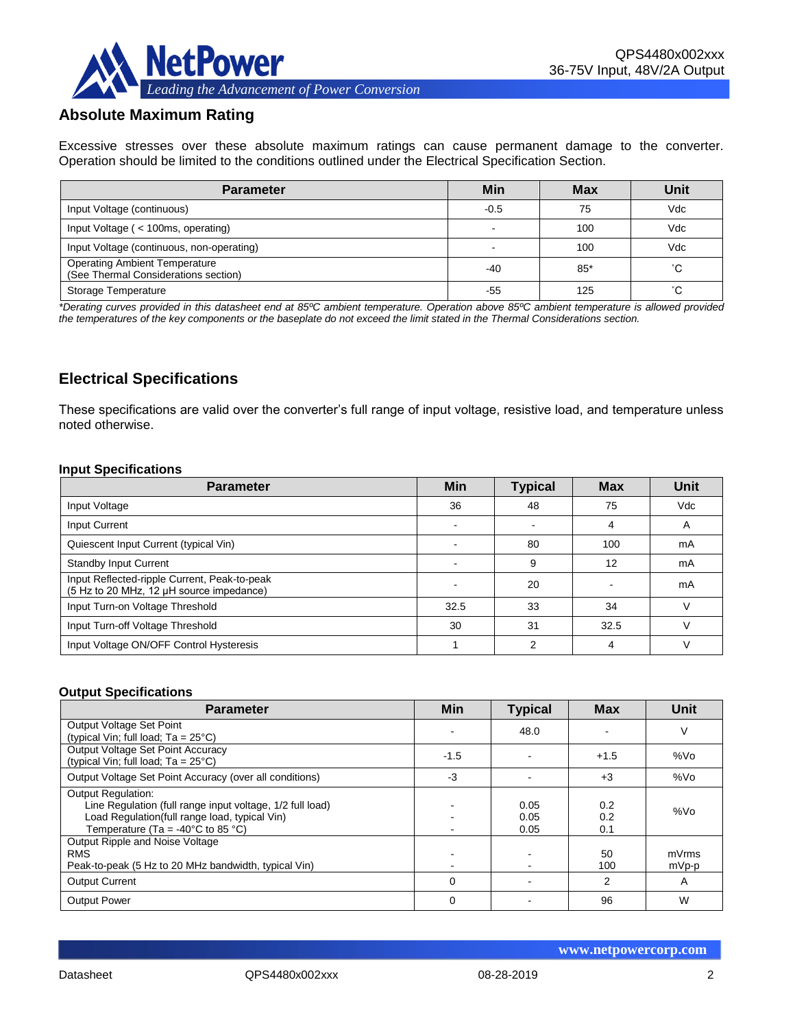

# **Absolute Maximum Rating**

Excessive stresses over these absolute maximum ratings can cause permanent damage to the converter. Operation should be limited to the conditions outlined under the Electrical Specification Section.

| <b>Parameter</b>                                                             | Min    | <b>Max</b> | Unit |
|------------------------------------------------------------------------------|--------|------------|------|
| Input Voltage (continuous)                                                   | $-0.5$ | 75         | Vdc  |
| Input Voltage (< 100ms, operating)                                           |        | 100        | Vdc  |
| Input Voltage (continuous, non-operating)                                    |        | 100        | Vdc  |
| <b>Operating Ambient Temperature</b><br>(See Thermal Considerations section) | $-40$  | $85*$      | °С   |
| Storage Temperature                                                          | -55    | 125        | °С   |

*\*Derating curves provided in this datasheet end at 85ºC ambient temperature. Operation above 85ºC ambient temperature is allowed provided the temperatures of the key components or the baseplate do not exceed the limit stated in the Thermal Considerations section.*

# **Electrical Specifications**

These specifications are valid over the converter's full range of input voltage, resistive load, and temperature unless noted otherwise.

#### **Input Specifications**

| <b>Parameter</b>                                                                         | <b>Min</b> | <b>Typical</b> | <b>Max</b> | Unit       |
|------------------------------------------------------------------------------------------|------------|----------------|------------|------------|
| Input Voltage                                                                            | 36         | 48             | 75         | <b>Vdc</b> |
| Input Current                                                                            |            |                | 4          | A          |
| Quiescent Input Current (typical Vin)                                                    |            | 80             | 100        | mA         |
| <b>Standby Input Current</b>                                                             |            | 9              | 12         | mA         |
| Input Reflected-ripple Current, Peak-to-peak<br>(5 Hz to 20 MHz, 12 µH source impedance) |            | 20             |            | mA         |
| Input Turn-on Voltage Threshold                                                          | 32.5       | 33             | 34         |            |
| Input Turn-off Voltage Threshold                                                         | 30         | 31             | 32.5       |            |
| Input Voltage ON/OFF Control Hysteresis                                                  |            | c              | 4          |            |

#### **Output Specifications**

| <b>Parameter</b>                                                                                                                                                                                  | Min      | <b>Typical</b>       | <b>Max</b>        | Unit           |
|---------------------------------------------------------------------------------------------------------------------------------------------------------------------------------------------------|----------|----------------------|-------------------|----------------|
| Output Voltage Set Point<br>(typical Vin; full load; $Ta = 25^{\circ}C$ )                                                                                                                         |          | 48.0                 |                   | V              |
| Output Voltage Set Point Accuracy<br>(typical Vin; full load; $Ta = 25^{\circ}C$ )                                                                                                                | $-1.5$   |                      | $+1.5$            | %Vo            |
| Output Voltage Set Point Accuracy (over all conditions)                                                                                                                                           | -3       |                      | $+3$              | %Vo            |
| <b>Output Regulation:</b><br>Line Regulation (full range input voltage, 1/2 full load)<br>Load Regulation(full range load, typical Vin)<br>Temperature (Ta = -40 $^{\circ}$ C to 85 $^{\circ}$ C) |          | 0.05<br>0.05<br>0.05 | 0.2<br>0.2<br>0.1 | %Vo            |
| Output Ripple and Noise Voltage<br><b>RMS</b><br>Peak-to-peak (5 Hz to 20 MHz bandwidth, typical Vin)                                                                                             |          |                      | 50<br>100         | mVrms<br>mVp-p |
| <b>Output Current</b>                                                                                                                                                                             | $\Omega$ |                      | 2                 | A              |
| <b>Output Power</b>                                                                                                                                                                               | 0        |                      | 96                | W              |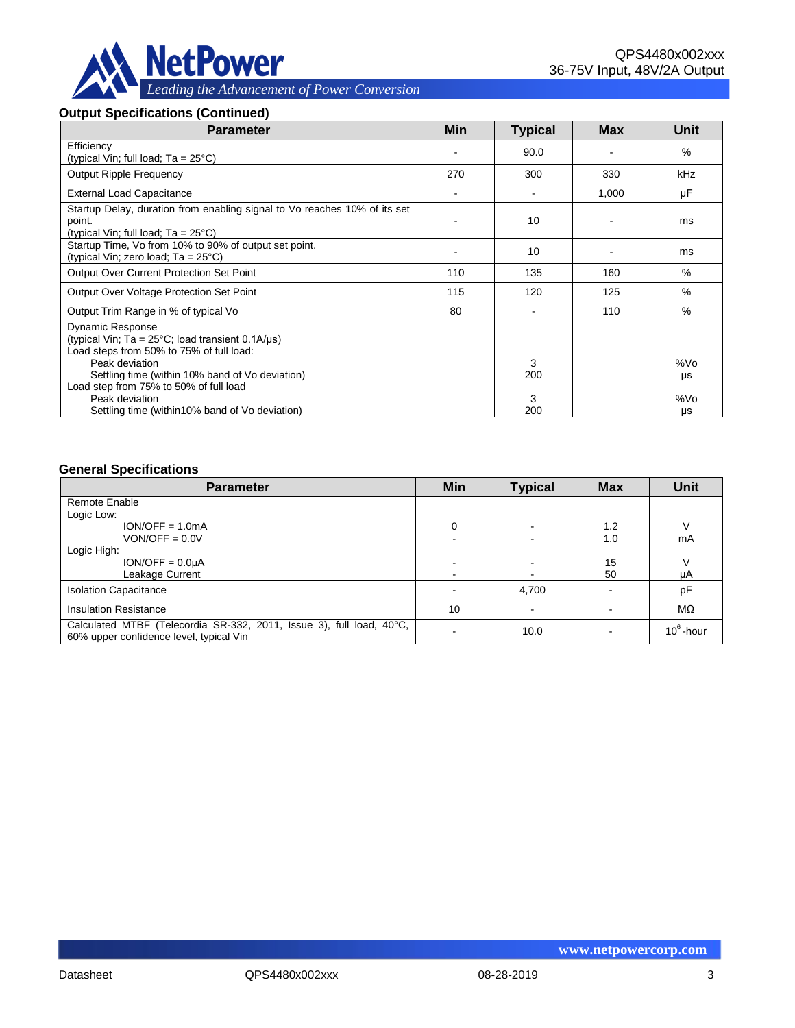

#### **Output Specifications (Continued)**

| <b>Parameter</b>                                                                                                                                           | Min | <b>Typical</b> | Max   | Unit      |
|------------------------------------------------------------------------------------------------------------------------------------------------------------|-----|----------------|-------|-----------|
| Efficiency<br>(typical Vin; full load; $Ta = 25^{\circ}C$ )                                                                                                |     | 90.0           |       | $\%$      |
| <b>Output Ripple Frequency</b>                                                                                                                             | 270 | 300            | 330   | kHz       |
| <b>External Load Capacitance</b>                                                                                                                           |     |                | 1,000 | μF        |
| Startup Delay, duration from enabling signal to Vo reaches 10% of its set<br>point.<br>(typical Vin; full load; $Ta = 25^{\circ}C$ )                       |     | 10             |       | ms        |
| Startup Time, Vo from 10% to 90% of output set point.<br>(typical Vin; zero load; Ta = 25°C)                                                               |     | 10             |       | ms        |
| <b>Output Over Current Protection Set Point</b>                                                                                                            | 110 | 135            | 160   | $\%$      |
| Output Over Voltage Protection Set Point                                                                                                                   | 115 | 120            | 125   | %         |
| Output Trim Range in % of typical Vo                                                                                                                       | 80  |                | 110   | $\%$      |
| <b>Dynamic Response</b><br>(typical Vin; $Ta = 25^{\circ}C$ ; load transient 0.1A/ $\mu s$ )<br>Load steps from 50% to 75% of full load:<br>Peak deviation |     | 3              |       | %Vo       |
| Settling time (within 10% band of Vo deviation)<br>Load step from 75% to 50% of full load<br>Peak deviation                                                |     | 200<br>3       |       | μs<br>%Vo |
| Settling time (within 10% band of Vo deviation)                                                                                                            |     | 200            |       | μs        |

#### **General Specifications**

| <b>Parameter</b>                                                                                                | Min                      | <b>Typical</b> | <b>Max</b> | <b>Unit</b>  |
|-----------------------------------------------------------------------------------------------------------------|--------------------------|----------------|------------|--------------|
| Remote Enable                                                                                                   |                          |                |            |              |
| Logic Low:                                                                                                      |                          |                |            |              |
| $ION/OFF = 1.0mA$                                                                                               | 0                        |                | 1.2        |              |
| $VON/OFF = 0.0V$                                                                                                |                          |                | 1.0        | mA           |
| Logic High:                                                                                                     |                          |                |            |              |
| $ION/OFF = 0.0µA$                                                                                               | $\overline{\phantom{a}}$ |                | 15         |              |
| Leakage Current                                                                                                 | $\sim$                   |                | 50         | μA           |
| <b>Isolation Capacitance</b>                                                                                    |                          | 4,700          |            | pF           |
| <b>Insulation Resistance</b>                                                                                    | 10                       |                |            | $M\Omega$    |
| Calculated MTBF (Telecordia SR-332, 2011, Issue 3), full load, 40°C,<br>60% upper confidence level, typical Vin |                          | 10.0           |            | $10^6$ -hour |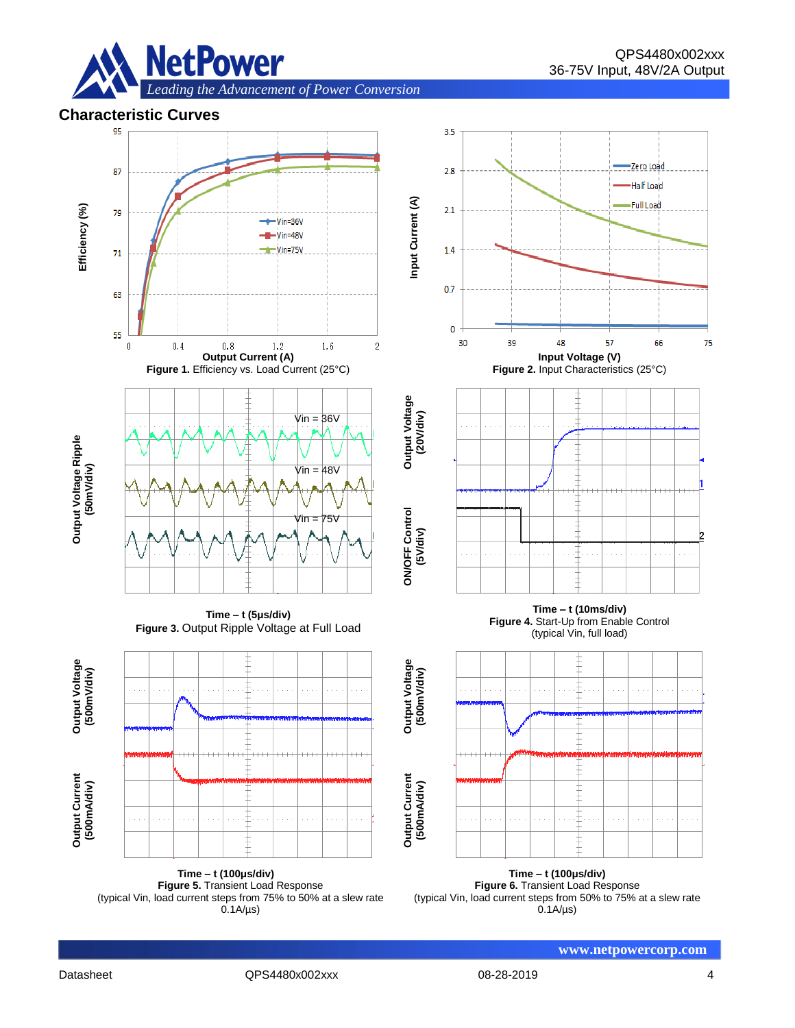

### **Characteristic Curves**



**Time – t (100μs/div) Figure 5.** Transient Load Response (typical Vin, load current steps from 75% to 50% at a slew rate  $0.1A/\mu s$ 

**Time – t (100μs/div) Figure 6.** Transient Load Response (typical Vin, load current steps from 50% to 75% at a slew rate  $0.1A/\mu s$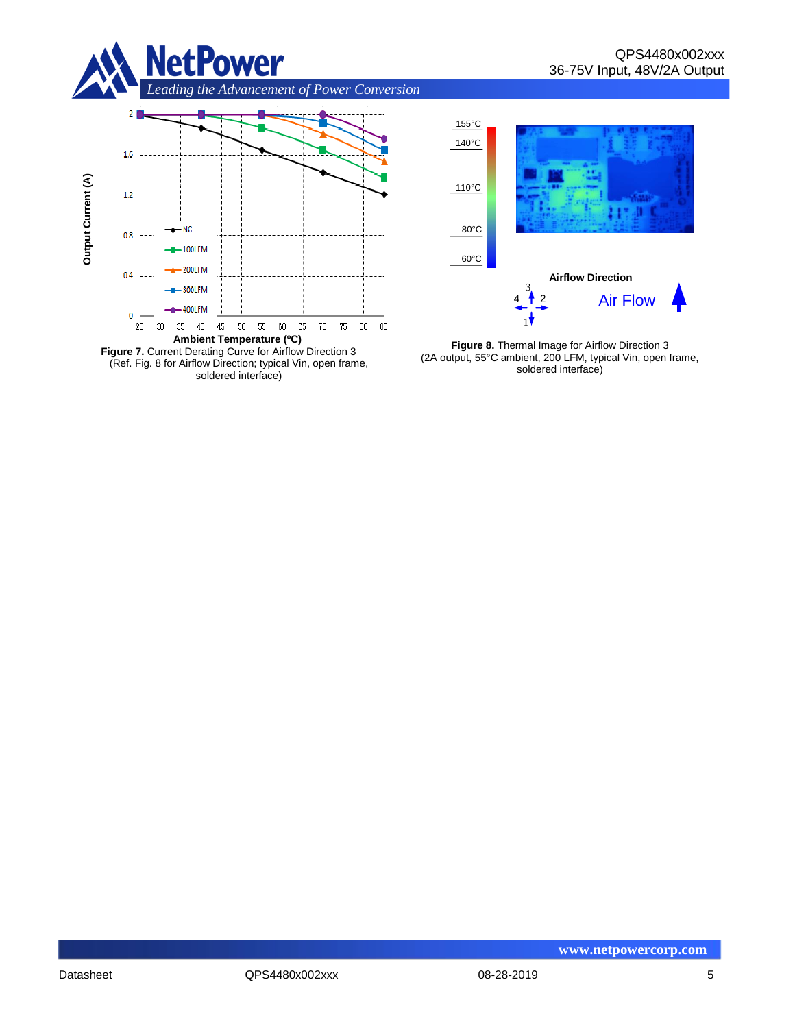

*Leading the Advancement of Power Conversion* 





**Figure 8.** Thermal Image for Airflow Direction 3 (2A output, 55°C ambient, 200 LFM, typical Vin, open frame, soldered interface)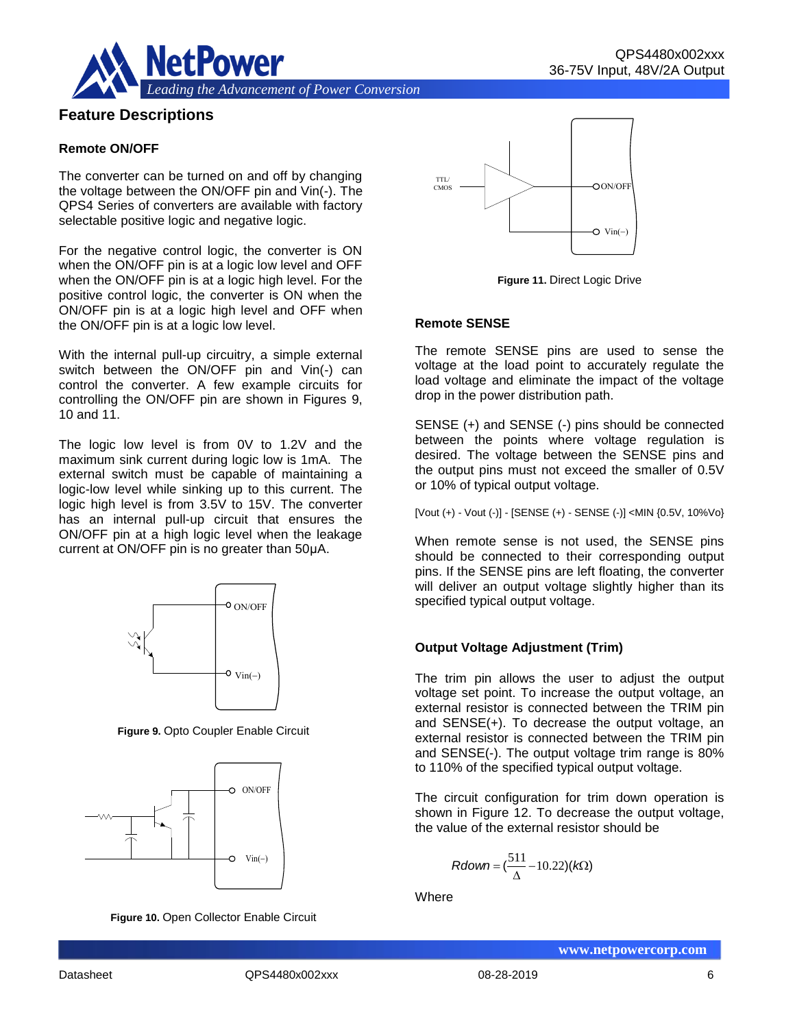



# **Feature Descriptions**

#### **Remote ON/OFF**

The converter can be turned on and off by changing the voltage between the ON/OFF pin and Vin(-). The QPS4 Series of converters are available with factory selectable positive logic and negative logic.

For the negative control logic, the converter is ON when the ON/OFF pin is at a logic low level and OFF when the ON/OFF pin is at a logic high level. For the positive control logic, the converter is ON when the ON/OFF pin is at a logic high level and OFF when the ON/OFF pin is at a logic low level.

With the internal pull-up circuitry, a simple external switch between the ON/OFF pin and Vin(-) can control the converter. A few example circuits for controlling the ON/OFF pin are shown in Figures 9, 10 and 11.

The logic low level is from 0V to 1.2V and the maximum sink current during logic low is 1mA. The external switch must be capable of maintaining a logic-low level while sinking up to this current. The logic high level is from 3.5V to 15V. The converter has an internal pull-up circuit that ensures the ON/OFF pin at a high logic level when the leakage current at ON/OFF pin is no greater than 50μA.



**Figure 9.** Opto Coupler Enable Circuit



**Figure 10.** Open Collector Enable Circuit



**Figure 11.** Direct Logic Drive

#### **Remote SENSE**

The remote SENSE pins are used to sense the voltage at the load point to accurately regulate the load voltage and eliminate the impact of the voltage drop in the power distribution path.

SENSE (+) and SENSE (-) pins should be connected between the points where voltage regulation is desired. The voltage between the SENSE pins and the output pins must not exceed the smaller of 0.5V or 10% of typical output voltage.

[Vout (+) - Vout (-)] - [SENSE (+) - SENSE (-)] <MIN {0.5V, 10%Vo}

When remote sense is not used, the SENSE pins should be connected to their corresponding output pins. If the SENSE pins are left floating, the converter will deliver an output voltage slightly higher than its specified typical output voltage.

#### **Output Voltage Adjustment (Trim)**

The trim pin allows the user to adjust the output voltage set point. To increase the output voltage, an external resistor is connected between the TRIM pin and SENSE(+). To decrease the output voltage, an external resistor is connected between the TRIM pin and SENSE(-). The output voltage trim range is 80% to 110% of the specified typical output voltage.

The circuit configuration for trim down operation is shown in Figure 12. To decrease the output voltage, the value of the external resistor should be

$$
Rdown = (\frac{511}{\Delta} - 10.22)(k\Omega)
$$

**Where**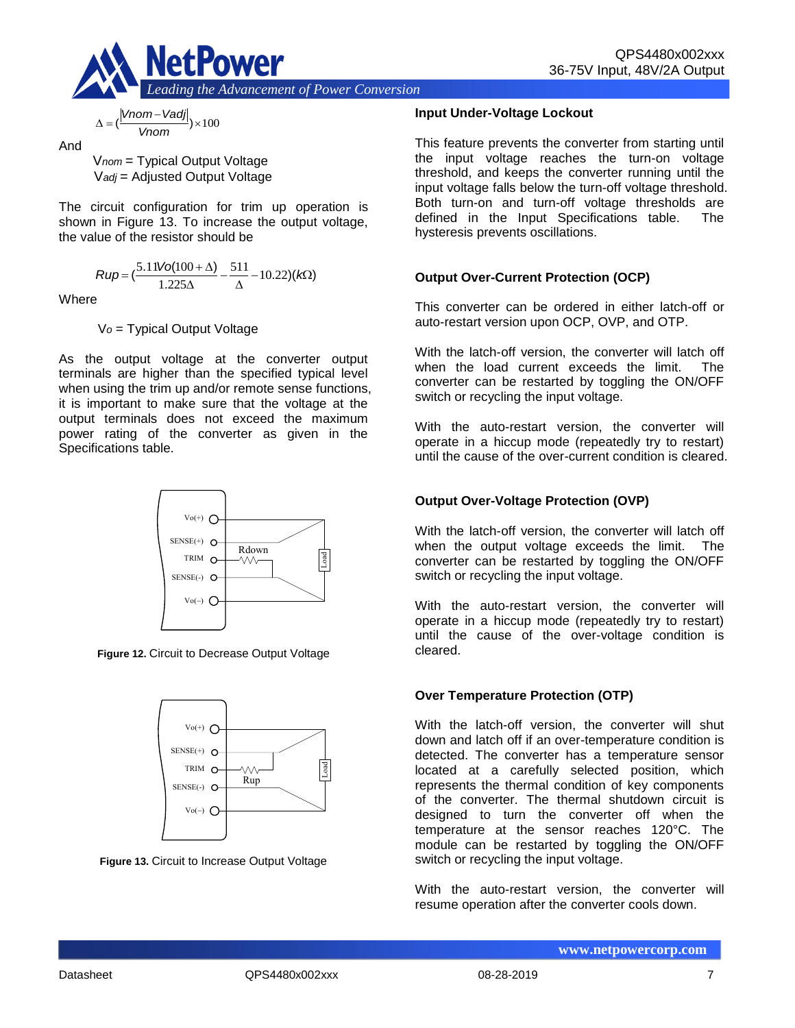

$$
\Delta = (\frac{|Vnom - Vadj|}{Vnom}) \times 100
$$

And

V*nom* = Typical Output Voltage V*adj* = Adjusted Output Voltage

The circuit configuration for trim up operation is shown in Figure 13. To increase the output voltage, the value of the resistor should be

$$
Rup = \left(\frac{5.11\text{Vol}(100 + \Delta)}{1.225\Delta} - \frac{511}{\Delta} - 10.22\right)(k\Omega)
$$

**Where** 

V*o* = Typical Output Voltage

As the output voltage at the converter output terminals are higher than the specified typical level when using the trim up and/or remote sense functions, it is important to make sure that the voltage at the output terminals does not exceed the maximum power rating of the converter as given in the Specifications table.



**Figure 12.** Circuit to Decrease Output Voltage



**Figure 13.** Circuit to Increase Output Voltage

### **Input Under-Voltage Lockout**

This feature prevents the converter from starting until the input voltage reaches the turn-on voltage threshold, and keeps the converter running until the input voltage falls below the turn-off voltage threshold. Both turn-on and turn-off voltage thresholds are defined in the Input Specifications table. The hysteresis prevents oscillations.

# **Output Over-Current Protection (OCP)**

This converter can be ordered in either latch-off or auto-restart version upon OCP, OVP, and OTP.

With the latch-off version, the converter will latch off when the load current exceeds the limit. The converter can be restarted by toggling the ON/OFF switch or recycling the input voltage.

With the auto-restart version, the converter will operate in a hiccup mode (repeatedly try to restart) until the cause of the over-current condition is cleared.

# **Output Over-Voltage Protection (OVP)**

With the latch-off version, the converter will latch off when the output voltage exceeds the limit. The converter can be restarted by toggling the ON/OFF switch or recycling the input voltage.

With the auto-restart version, the converter will operate in a hiccup mode (repeatedly try to restart) until the cause of the over-voltage condition is cleared.

# **Over Temperature Protection (OTP)**

With the latch-off version, the converter will shut down and latch off if an over-temperature condition is detected. The converter has a temperature sensor located at a carefully selected position, which represents the thermal condition of key components of the converter. The thermal shutdown circuit is designed to turn the converter off when the temperature at the sensor reaches 120°C. The module can be restarted by toggling the ON/OFF switch or recycling the input voltage.

With the auto-restart version, the converter will resume operation after the converter cools down.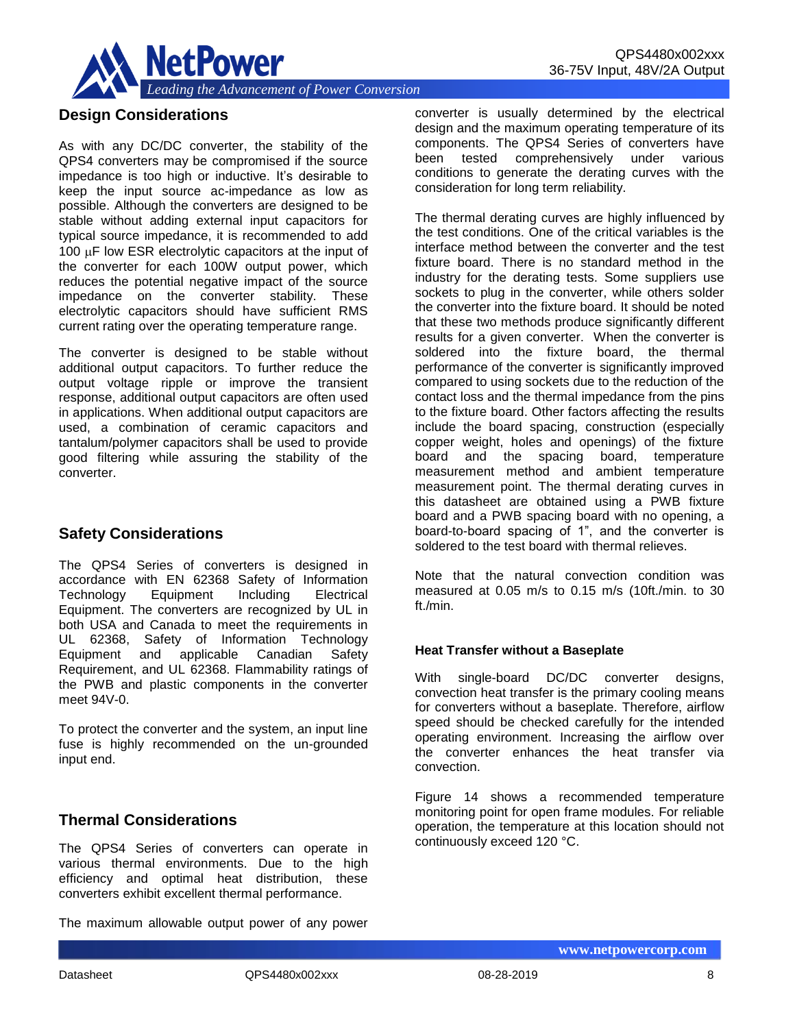

# **Design Considerations**

As with any DC/DC converter, the stability of the QPS4 converters may be compromised if the source impedance is too high or inductive. It's desirable to keep the input source ac-impedance as low as possible. Although the converters are designed to be stable without adding external input capacitors for typical source impedance, it is recommended to add 100  $\mu$ F low ESR electrolytic capacitors at the input of the converter for each 100W output power, which reduces the potential negative impact of the source impedance on the converter stability. These electrolytic capacitors should have sufficient RMS current rating over the operating temperature range.

The converter is designed to be stable without additional output capacitors. To further reduce the output voltage ripple or improve the transient response, additional output capacitors are often used in applications. When additional output capacitors are used, a combination of ceramic capacitors and tantalum/polymer capacitors shall be used to provide good filtering while assuring the stability of the converter.

# **Safety Considerations**

The QPS4 Series of converters is designed in accordance with EN 62368 Safety of Information Technology Equipment Including Electrical Equipment. The converters are recognized by UL in both USA and Canada to meet the requirements in UL 62368, Safety of Information Technology Equipment and applicable Canadian Safety Requirement, and UL 62368. Flammability ratings of the PWB and plastic components in the converter meet 94V-0.

To protect the converter and the system, an input line fuse is highly recommended on the un-grounded input end.

# **Thermal Considerations**

The QPS4 Series of converters can operate in various thermal environments. Due to the high efficiency and optimal heat distribution, these converters exhibit excellent thermal performance.

The maximum allowable output power of any power

converter is usually determined by the electrical design and the maximum operating temperature of its components. The QPS4 Series of converters have been tested comprehensively under various conditions to generate the derating curves with the consideration for long term reliability.

The thermal derating curves are highly influenced by the test conditions. One of the critical variables is the interface method between the converter and the test fixture board. There is no standard method in the industry for the derating tests. Some suppliers use sockets to plug in the converter, while others solder the converter into the fixture board. It should be noted that these two methods produce significantly different results for a given converter. When the converter is soldered into the fixture board, the thermal performance of the converter is significantly improved compared to using sockets due to the reduction of the contact loss and the thermal impedance from the pins to the fixture board. Other factors affecting the results include the board spacing, construction (especially copper weight, holes and openings) of the fixture board and the spacing board, temperature measurement method and ambient temperature measurement point. The thermal derating curves in this datasheet are obtained using a PWB fixture board and a PWB spacing board with no opening, a board-to-board spacing of 1", and the converter is soldered to the test board with thermal relieves.

Note that the natural convection condition was measured at 0.05 m/s to 0.15 m/s (10ft./min. to 30 ft./min.

#### **Heat Transfer without a Baseplate**

With single-board DC/DC converter designs, convection heat transfer is the primary cooling means for converters without a baseplate. Therefore, airflow speed should be checked carefully for the intended operating environment. Increasing the airflow over the converter enhances the heat transfer via convection.

Figure 14 shows a recommended temperature monitoring point for open frame modules. For reliable operation, the temperature at this location should not continuously exceed 120 °C.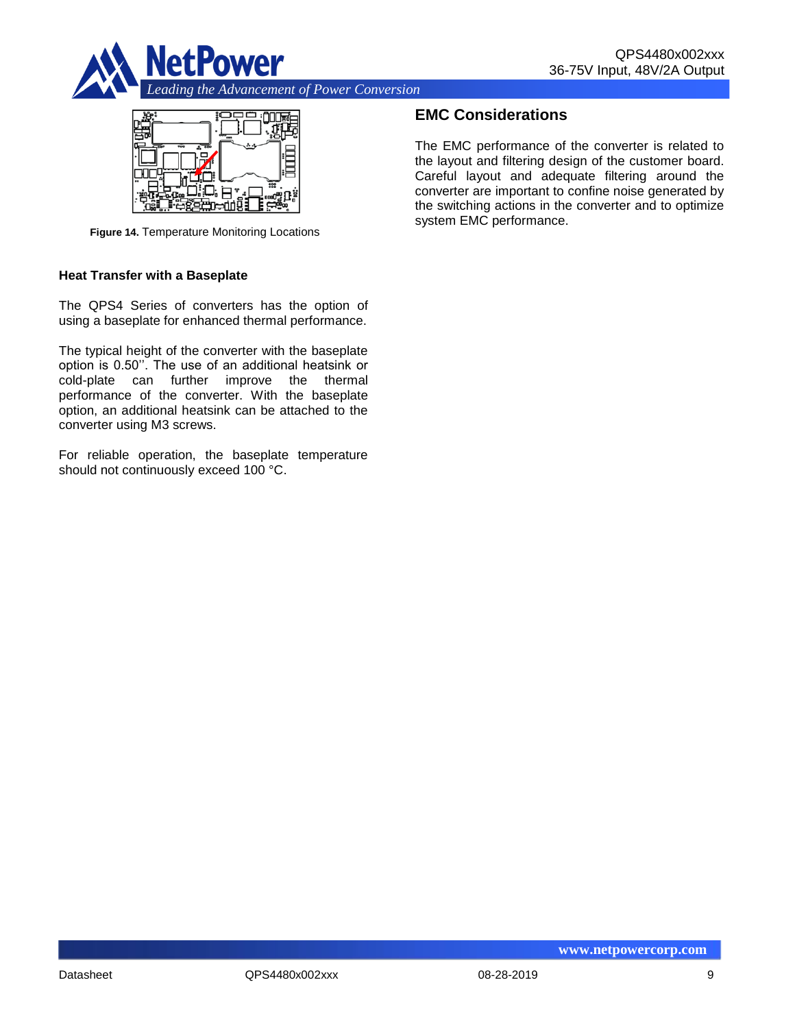



**Figure 14.** Temperature Monitoring Locations

#### **Heat Transfer with a Baseplate**

The QPS4 Series of converters has the option of using a baseplate for enhanced thermal performance.

The typical height of the converter with the baseplate option is 0.50''. The use of an additional heatsink or cold-plate can further improve the thermal performance of the converter. With the baseplate option, an additional heatsink can be attached to the converter using M3 screws.

For reliable operation, the baseplate temperature should not continuously exceed 100 °C.

# **EMC Considerations**

The EMC performance of the converter is related to the layout and filtering design of the customer board. Careful layout and adequate filtering around the converter are important to confine noise generated by the switching actions in the converter and to optimize system EMC performance.